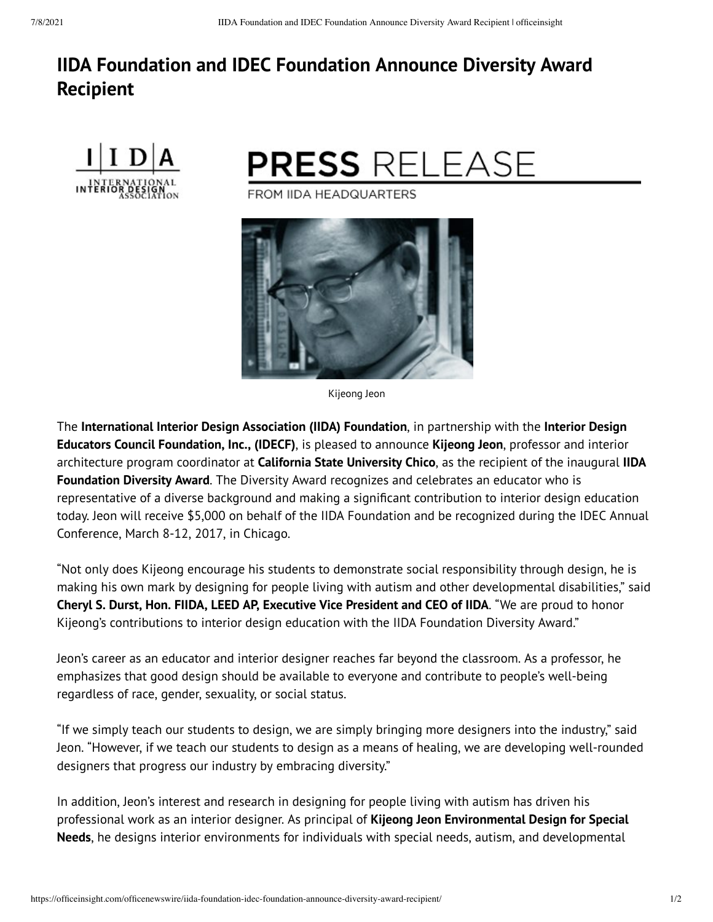# **IIDA Foundation and IDEC Foundation Announce Diversity Award Recipient**





Kijeong Jeon

The **International Interior Design Association (IIDA) Foundation**, in partnership with the **Interior Design Educators Council Foundation, Inc., (IDECF)**, is pleased to announce **Kijeong Jeon**, professor and interior architecture program coordinator at **California State University Chico**, as the recipient of the inaugural **IIDA Foundation Diversity Award**. The Diversity Award recognizes and celebrates an educator who is ERE MANAGE INTERNATION AND HEADGUARTERS<br>
TROM IIDA HEADGUARTERS<br>
TROM IIDA HEADGUARTERS<br>
TROM IIDA HEADGUARTERS<br>
TROM IIDA HEADGUARTERS<br>
TROM IIDA HEADGUARTERS<br>
TROM IIDA HEADGUARTERS<br>
TROM IIDA HEADGUARTERS<br>
TROM IIDA HE today. Jeon will receive \$5,000 on behalf of the IIDA Foundation and be recognized during the IDEC Annual Conference, March 8-12, 2017, in Chicago.

"Not only does Kijeong encourage his students to demonstrate social responsibility through design, he is making his own mark by designing for people living with autism and other developmental disabilities, " said **Cheryl S. Durst, Hon. FIIDA, LEED AP, Executive Vice President and CEO of IIDA**. "We are proud to honor Kijeong's contributions to interior design education with the IIDA Foundation Diversity Award. "

Jeon's career as an educator and interior designer reaches far beyond the classroom. As a professor, he emphasizes that good design should be available to everyone and contribute to people's well-being regardless of race, gender, sexuality, or social status.

"If we simply teach our students to design, we are simply bringing more designers into the industry, " said Jeon. "However, if we teach our students to design as a means of healing, we are developing well-rounded designers that progress our industry by embracing diversity. "

In addition, Jeon's interest and research in designing for people living with autism has driven his professional work as an interior designer. As principal of **Kijeong Jeon Environmental Design for Special Needs**, he designs interior environments for individuals with special needs, autism, and developmental